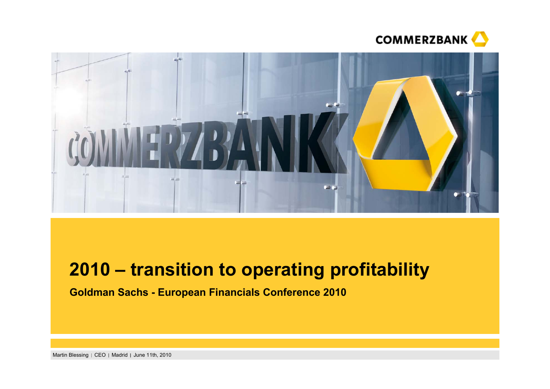



# **2010 – transition to operating profitability**

**Goldman Sachs - European Financials Conference 2010**

Martin Blessing | CEO | Madrid | June 11th, 2010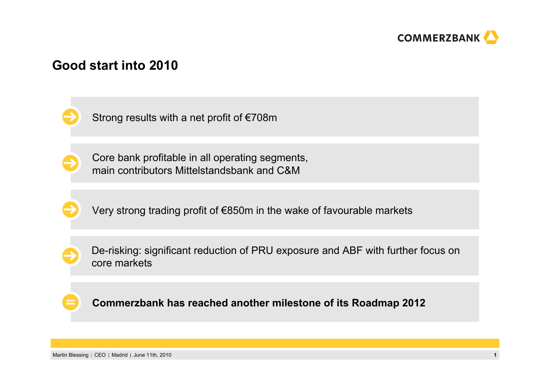

### **Good start into 2010**

Strong results with a net profit of €708m

Core bank profitable in all operating segments, main contributors Mittelstandsbank and C&M

Very strong trading profit of €850m in the wake of favourable markets

De-risking: significant reduction of PRU exposure and ABF with further focus on core markets

**Commerzbank has reached another milestone of its Roadmap 2012**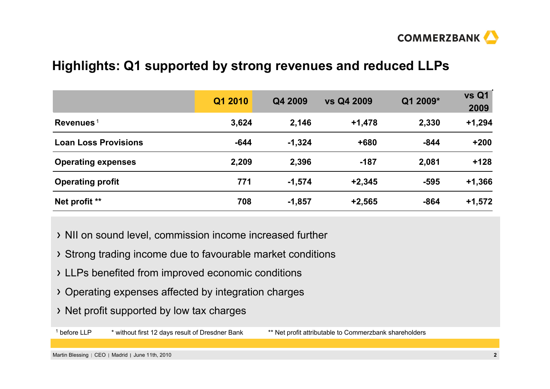

### **Highlights: Q1 supported by strong revenues and reduced LLPs**

|                             | Q1 2010 | Q4 2009  | vs Q4 2009 | Q1 2009* | <b>vs Q1</b><br>2009 |
|-----------------------------|---------|----------|------------|----------|----------------------|
| Revenues <sup>1</sup>       | 3,624   | 2,146    | $+1,478$   | 2,330    | $+1,294$             |
| <b>Loan Loss Provisions</b> | $-644$  | $-1,324$ | +680       | $-844$   | $+200$               |
| <b>Operating expenses</b>   | 2,209   | 2,396    | $-187$     | 2,081    | $+128$               |
| <b>Operating profit</b>     | 771     | $-1,574$ | $+2,345$   | $-595$   | $+1,366$             |
| Net profit **               | 708     | $-1,857$ | $+2,565$   | $-864$   | $+1,572$             |

- NII on sound level, commission income increased further
- Strong trading income due to favourable market conditions
- LLPs benefited from improved economic conditions
- Operating expenses affected by integration charges
- Net profit supported by low tax charges

<sup>1</sup> before LLP \* without first 12 days result of Dresdner Bank \*\* Net profit attributable to Commerzbank shareholders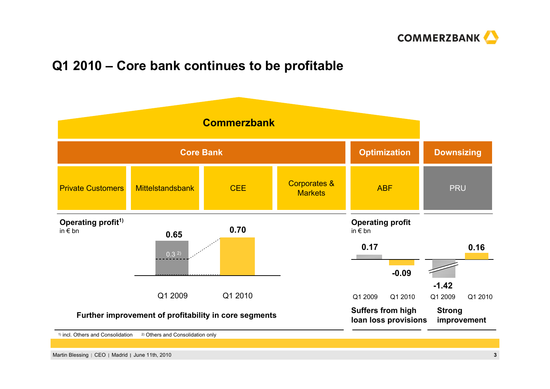

### **Q1 2010 – Core bank continues to be profitable**



Martin Blessing CEO Madrid June 11th, 2010 **3**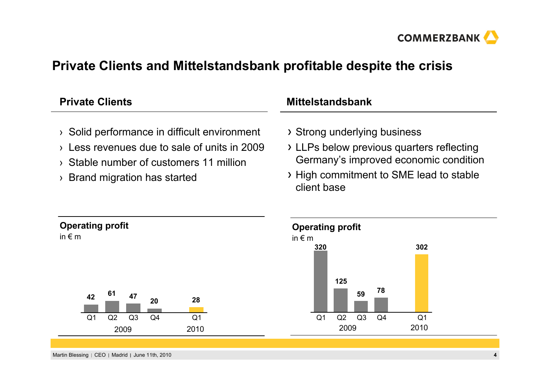

### **Private Clients and Mittelstandsbank profitable despite the crisis**

| <b>Private Clients</b>                                                                                                                                                                                               | <b>Mittelstandsbank</b>                                                                                                                                                      |  |  |
|----------------------------------------------------------------------------------------------------------------------------------------------------------------------------------------------------------------------|------------------------------------------------------------------------------------------------------------------------------------------------------------------------------|--|--|
| > Solid performance in difficult environment<br>Less revenues due to sale of units in 2009<br>$\sum_{i=1}^{n}$<br>Stable number of customers 11 million<br>$\sum$<br>Brand migration has started<br>$\sum_{i=1}^{n}$ | > Strong underlying business<br>> LLPs below previous quarters reflecting<br>Germany's improved economic condition<br>> High commitment to SME lead to stable<br>client base |  |  |
| <b>Operating profit</b><br>in $\epsilon$ m<br>61<br>47<br>42<br>28<br>20<br>Q2<br>Q <sub>3</sub><br>Q <sub>4</sub><br>Q <sub>1</sub><br>Q <sub>1</sub><br>2010<br>2009                                               | <b>Operating profit</b><br>in $\notin$ m<br>302<br>320<br>125<br>78<br>59<br>Q <sub>1</sub><br>Q2<br>Q <sub>3</sub><br>Q <sub>1</sub><br>Q <sub>4</sub><br>2010<br>2009      |  |  |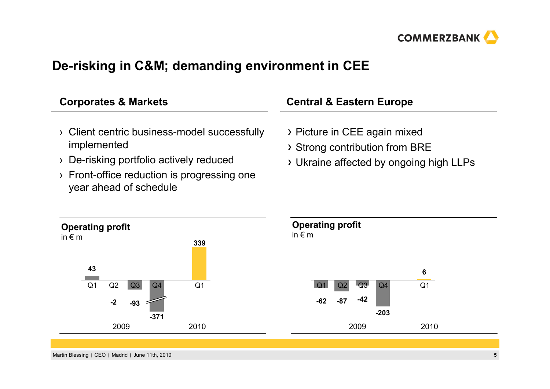

## **De-risking in C&M; demanding environment in CEE**

| <b>Corporates &amp; Markets</b>                                                                        | <b>Central &amp; Eastern Europe</b>                                                                       |  |  |
|--------------------------------------------------------------------------------------------------------|-----------------------------------------------------------------------------------------------------------|--|--|
| > Client centric business-model successfully<br>implemented<br>> De-risking portfolio actively reduced | > Picture in CEE again mixed<br>> Strong contribution from BRE<br>> Ukraine affected by ongoing high LLPs |  |  |
| $\rightarrow$ Front-office reduction is progressing one                                                |                                                                                                           |  |  |





year ahead of schedule

 $\overline{\phantom{0}}$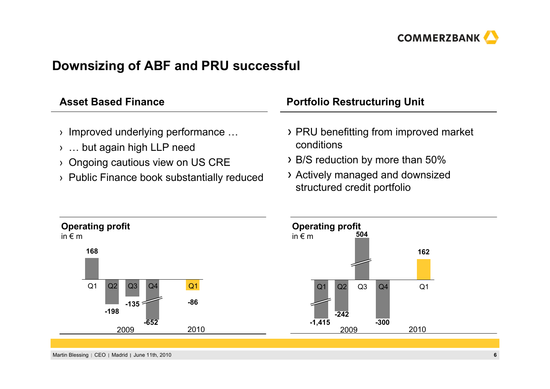

### **Downsizing of ABF and PRU successful**

| <b>Asset Based Finance</b>                                                                                                                                                 | <b>Portfolio Restructuring Unit</b>                                                                                                                         |  |  |
|----------------------------------------------------------------------------------------------------------------------------------------------------------------------------|-------------------------------------------------------------------------------------------------------------------------------------------------------------|--|--|
| $\rightarrow$ Improved underlying performance<br>$\rightarrow$ but again high LLP need<br>> Ongoing cautious view on US CRE<br>> Public Finance book substantially reduced | > PRU benefitting from improved market<br>conditions<br>> B/S reduction by more than 50%<br>> Actively managed and downsized<br>structured credit portfolio |  |  |



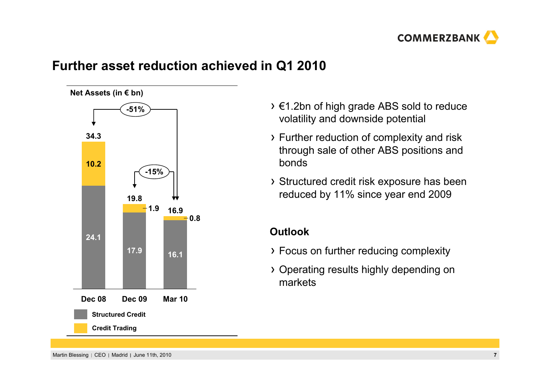

### **Further asset reduction achieved in Q1 2010**



- €1.2bn of high grade ABS sold to reduce volatility and downside potential
- Further reduction of complexity and risk through sale of other ABS positions and bonds
- Structured credit risk exposure has been reduced by 11% since year end 2009

### **Outlook**

- Focus on further reducing complexity
- Operating results highly depending on markets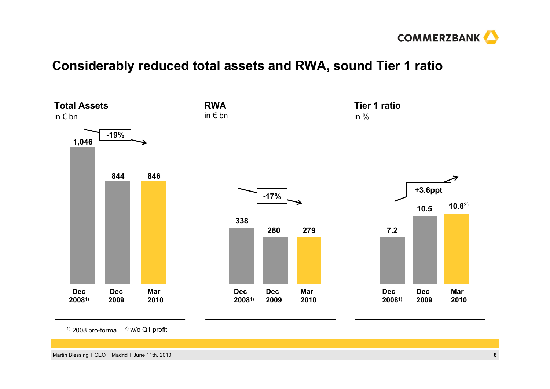

### **Considerably reduced total assets and RWA, sound Tier 1 ratio**



 $1)$  2008 pro-forma 2) w/o Q1 profit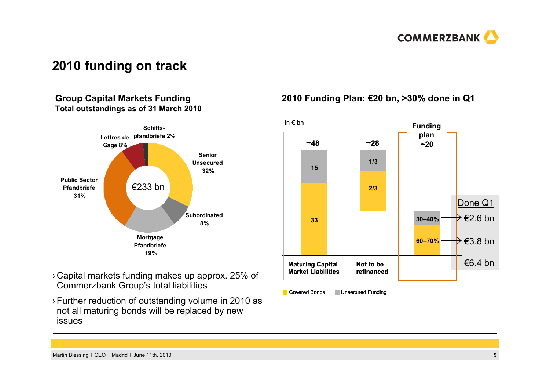

### **2010 funding on track**

#### **Group Capital Markets Funding Total outstandings as of 31 March 2010**



- › Capital markets funding makes up approx. 25% of Commerzbank Group's total liabilities
- › Further reduction of outstanding volume in 2010 as not all maturing bonds will be replaced by new issues

### **2010 Funding Plan: €20 bn, >30% done in Q1**



**Covered Bonds Unsecured Funding**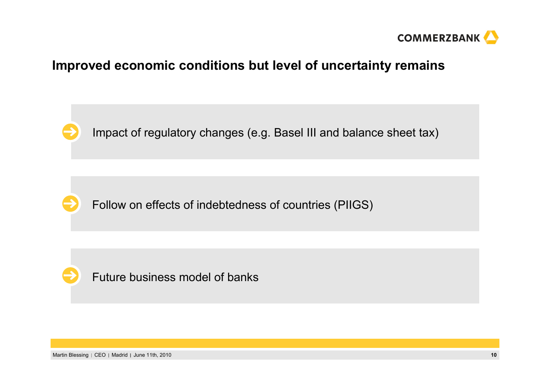

### **Improved economic conditions but level of uncertainty remains**



Impact of regulatory changes (e.g. Basel III and balance sheet tax)



Follow on effects of indebtedness of countries (PIIGS)



Future business model of banks

Martin Blessing CEO Madrid June 11th, 2010 **10**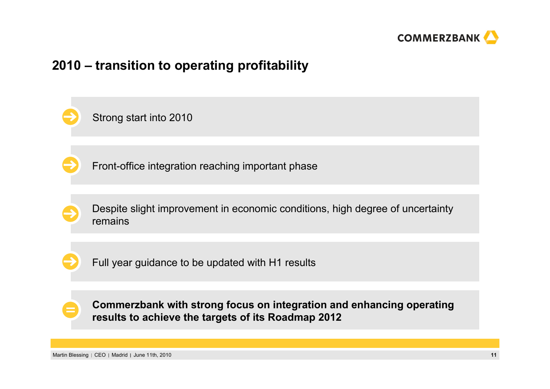

### **2010 – transition to operating profitability**

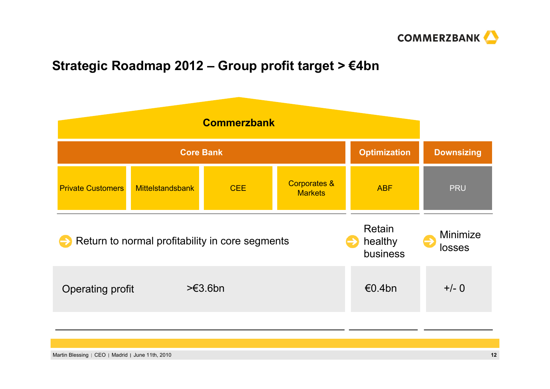

## **Strategic Roadmap 2012 – Group profit target > €4bn**

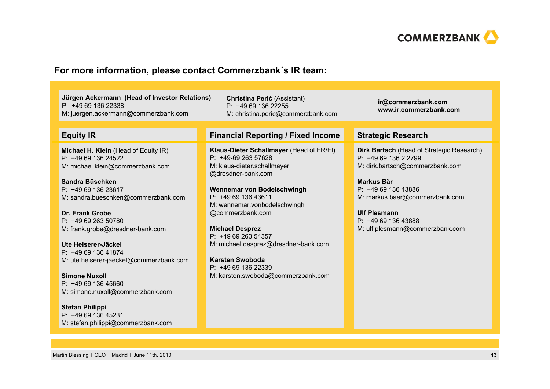

#### **For more information, please contact Commerzbank´s IR team:**

**Jürgen Ackermann (Head of Investor Relations)** P: +49 69 136 22338M: juergen.ackermann@commerzbank.com

**Michael H. Klein** (Head of Equity IR) P: +49 69 136 24522M: michael.klein@commerzbank.com

**Sandra Büschken**P: +49 69 136 23617M: sandra.bueschken@commerzbank.com

**Dr. Frank Grobe**P: +49 69 263 50780M: frank.grobe@dresdner-bank.com

**Ute Heiserer-Jäckel**P: +49 69 136 41874M: ute.heiserer-jaeckel@commerzbank.com

**Simone Nuxoll**P: +49 69 136 45660M: simone.nuxoll@commerzbank.com

**Stefan Philippi** P: +49 69 136 45231M: stefan.philippi@commerzbank.com

**Christina Perić** (Assistant) P: +49 69 136 22255 M: christina.peric@commerzbank.com

#### **Equity IR Financial Reporting / Fixed Income Strategic Research**

**Klaus-Dieter Schallmayer** (Head of FR/FI) P: +49-69 263 57628M: klaus-dieter.schallmayer @dresdner-bank.com

**Wennemar von Bodelschwingh**  $P: +496913643611$ M: wennemar.vonbodelschwingh @commerzbank.com

**Michael Desprez** P: +49 69 263 54357M: michael.desprez@dresdner-bank.com

**Karsten Swoboda**P: +49 69 136 22339M: karsten.swoboda@commerzbank.com **ir@commerzbank.com www.ir.commerzbank.com**

**Dirk Bartsch** (Head of Strategic Research)  $P: +496913622799$ M: dirk.bartsch@commerzbank.com

**Markus Bär**P: +49 69 136 43886 M: markus.baer@commerzbank.com

**Ulf Plesmann**P: +49 69 136 43888 M: ulf.plesmann@commerzbank.com